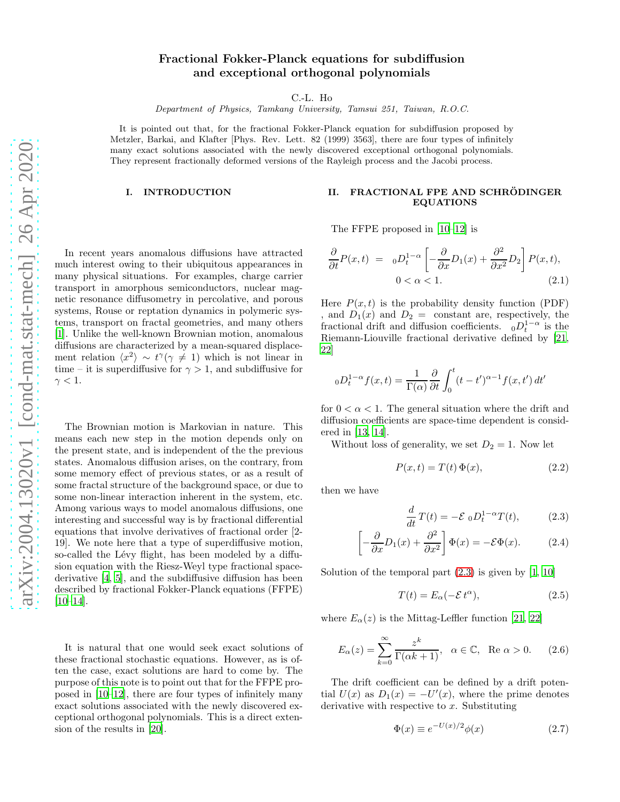# Fractional Fokker-Planck equations for subdiffusion and exceptional orthogonal polynomials

C.-L. Ho

Department of Physics, Tamkang University, Tamsui 251, Taiwan, R.O.C.

It is pointed out that, for the fractional Fokker-Planck equation for subdiffusion proposed by Metzler, Barkai, and Klafter [Phys. Rev. Lett. 82 (1999) 3563], there are four types of infinitely many exact solutions associated with the newly discovered exceptional orthogonal polynomials. They represent fractionally deformed versions of the Rayleigh process and the Jacobi process.

#### I. INTRODUCTION

In recent years anomalous diffusions have attracted much interest owing to their ubiquitous appearances in many physical situations. For examples, charge carrier transport in amorphous semiconductors, nuclear magnetic resonance diffusometry in percolative, and porous systems, Rouse or reptation dynamics in polymeric systems, transport on fractal geometries, and many others [\[1\]](#page-3-0). Unlike the well-known Brownian motion, anomalous diffusions are characterized by a mean-squared displacement relation  $\langle x^2 \rangle \sim t^{\gamma} (\gamma \neq 1)$  which is not linear in time – it is superdiffusive for  $\gamma > 1$ , and subdiffusive for  $\gamma < 1$ .

The Brownian motion is Markovian in nature. This means each new step in the motion depends only on the present state, and is independent of the the previous states. Anomalous diffusion arises, on the contrary, from some memory effect of previous states, or as a result of some fractal structure of the background space, or due to some non-linear interaction inherent in the system, etc. Among various ways to model anomalous diffusions, one interesting and successful way is by fractional differential equations that involve derivatives of fractional order [2- 19]. We note here that a type of superdiffusive motion, so-called the Lévy flight, has been modeled by a diffusion equation with the Riesz-Weyl type fractional spacederivative [\[4,](#page-3-1) [5](#page-3-2)], and the subdiffusive diffusion has been described by fractional Fokker-Planck equations (FFPE)  $[10–14]$  $[10–14]$ .

It is natural that one would seek exact solutions of these fractional stochastic equations. However, as is often the case, exact solutions are hard to come by. The purpose of this note is to point out that for the FFPE proposed in [\[10](#page-3-3)[–12\]](#page-3-5), there are four types of infinitely many exact solutions associated with the newly discovered exceptional orthogonal polynomials. This is a direct extension of the results in [\[20](#page-3-6)].

## II. FRACTIONAL FPE AND SCHRÖDINGER EQUATIONS

The FFPE proposed in [\[10](#page-3-3)[–12](#page-3-5)] is

<span id="page-0-1"></span>
$$
\frac{\partial}{\partial t}P(x,t) = 0 \cdot D_t^{1-\alpha} \left[ -\frac{\partial}{\partial x} D_1(x) + \frac{\partial^2}{\partial x^2} D_2 \right] P(x,t),
$$
  
0 < \alpha < 1. (2.1)

Here  $P(x, t)$  is the probability density function (PDF) , and  $D_1(x)$  and  $D_2 =$  constant are, respectively, the fractional drift and diffusion coefficients.  ${}_0D_t^{1-\alpha}$  is the Riemann-Liouville fractional derivative defined by [\[21](#page-3-7), [22\]](#page-3-8)

$$
{}_{0}D_{t}^{1-\alpha}f(x,t) = \frac{1}{\Gamma(\alpha)}\frac{\partial}{\partial t}\int_{0}^{t}(t-t')^{\alpha-1}f(x,t') dt'
$$

for  $0 < \alpha < 1$ . The general situation where the drift and diffusion coefficients are space-time dependent is considered in [\[13,](#page-3-9) [14](#page-3-4)].

Without loss of generality, we set  $D_2 = 1$ . Now let

$$
P(x,t) = T(t)\,\Phi(x),\tag{2.2}
$$

then we have

<span id="page-0-0"></span>
$$
\frac{d}{dt}T(t) = -\mathcal{E}_0 D_t^{1-\alpha} T(t),\qquad(2.3)
$$

$$
\left[ -\frac{\partial}{\partial x} D_1(x) + \frac{\partial^2}{\partial x^2} \right] \Phi(x) = -\mathcal{E}\Phi(x). \tag{2.4}
$$

Solution of the temporal part  $(2.3)$  is given by  $[1, 10]$  $[1, 10]$  $[1, 10]$ 

$$
T(t) = E_{\alpha}(-\mathcal{E}t^{\alpha}), \qquad (2.5)
$$

where  $E_{\alpha}(z)$  is the Mittag-Leffler function [\[21,](#page-3-7) [22\]](#page-3-8)

$$
E_{\alpha}(z) = \sum_{k=0}^{\infty} \frac{z^k}{\Gamma(\alpha k + 1)}, \quad \alpha \in \mathbb{C}, \quad \text{Re } \alpha > 0. \tag{2.6}
$$

The drift coefficient can be defined by a drift potential  $U(x)$  as  $D_1(x) = -U'(x)$ , where the prime denotes derivative with respective to  $x$ . Substituting

$$
\Phi(x) \equiv e^{-U(x)/2} \phi(x) \tag{2.7}
$$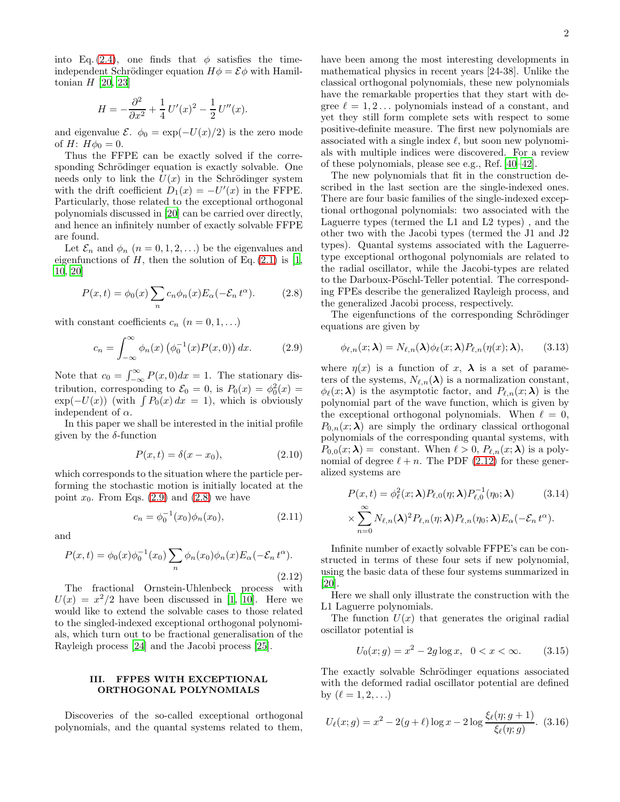2

into Eq. [\(2.4\)](#page-0-0), one finds that  $\phi$  satisfies the timeindependent Schrödinger equation  $H\phi = \mathcal{E}\phi$  with Hamiltonian  $H$  [\[20](#page-3-6), [23](#page-3-10)]

$$
H = -\frac{\partial^2}{\partial x^2} + \frac{1}{4}U'(x)^2 - \frac{1}{2}U''(x).
$$

and eigenvalue  $\mathcal{E}$ .  $\phi_0 = \exp(-U(x)/2)$  is the zero mode of *H*:  $H\phi_0 = 0$ .

Thus the FFPE can be exactly solved if the corresponding Schrödinger equation is exactly solvable. One needs only to link the  $U(x)$  in the Schrödinger system with the drift coefficient  $D_1(x) = -U'(x)$  in the FFPE. Particularly, those related to the exceptional orthogonal polynomials discussed in [\[20](#page-3-6)] can be carried over directly, and hence an infinitely number of exactly solvable FFPE are found.

Let  $\mathcal{E}_n$  and  $\phi_n$   $(n = 0, 1, 2, ...)$  be the eigenvalues and eigenfunctions of  $H$ , then the solution of Eq. [\(2.1\)](#page-0-1) is [\[1](#page-3-0), [10,](#page-3-3) [20](#page-3-6)]

<span id="page-1-1"></span>
$$
P(x,t) = \phi_0(x) \sum_n c_n \phi_n(x) E_\alpha(-\mathcal{E}_n t^\alpha).
$$
 (2.8)

with constant coefficients  $c_n$   $(n = 0, 1, ...)$ 

<span id="page-1-0"></span>
$$
c_n = \int_{-\infty}^{\infty} \phi_n(x) \left( \phi_0^{-1}(x) P(x, 0) \right) dx. \tag{2.9}
$$

Note that  $c_0 = \int_{-\infty}^{\infty} P(x,0)dx = 1$ . The stationary distribution, corresponding to  $\mathcal{E}_0 = 0$ , is  $P_0(x) = \phi_0^2(x) =$  $\exp(-U(x))$  (with  $\int P_0(x) dx = 1$ ), which is obviously independent of  $\alpha$ .

In this paper we shall be interested in the initial profile given by the  $\delta$ -function

$$
P(x,t) = \delta(x - x_0),\tag{2.10}
$$

which corresponds to the situation where the particle performing the stochastic motion is initially located at the point  $x_0$ . From Eqs. [\(2.9\)](#page-1-0) and [\(2.8\)](#page-1-1) we have

$$
c_n = \phi_0^{-1}(x_0)\phi_n(x_0), \qquad (2.11)
$$

and

<span id="page-1-2"></span>
$$
P(x,t) = \phi_0(x)\phi_0^{-1}(x_0) \sum_n \phi_n(x_0)\phi_n(x)E_\alpha(-\mathcal{E}_n t^\alpha).
$$
\n(2.12)

The fractional Ornstein-Uhlenbeck process with  $U(x) = x^2/2$  have been discussed in [\[1,](#page-3-0) [10](#page-3-3)]. Here we would like to extend the solvable cases to those related to the singled-indexed exceptional orthogonal polynomials, which turn out to be fractional generalisation of the Rayleigh process [\[24\]](#page-3-11) and the Jacobi process [\[25\]](#page-3-12).

## III. FFPES WITH EXCEPTIONAL ORTHOGONAL POLYNOMIALS

Discoveries of the so-called exceptional orthogonal polynomials, and the quantal systems related to them, have been among the most interesting developments in mathematical physics in recent years [24-38]. Unlike the classical orthogonal polynomials, these new polynomials have the remarkable properties that they start with degree  $\ell = 1, 2, \ldots$  polynomials instead of a constant, and yet they still form complete sets with respect to some positive-definite measure. The first new polynomials are associated with a single index  $\ell$ , but soon new polynomials with multiple indices were discovered. For a review of these polynomials, please see e.g., Ref. [\[40–](#page-3-13)[42\]](#page-3-14).

The new polynomials that fit in the construction described in the last section are the single-indexed ones. There are four basic families of the single-indexed exceptional orthogonal polynomials: two associated with the Laguerre types (termed the L1 and L2 types) , and the other two with the Jacobi types (termed the J1 and J2 types). Quantal systems associated with the Laguerretype exceptional orthogonal polynomials are related to the radial oscillator, while the Jacobi-types are related to the Darboux-Pöschl-Teller potential. The corresponding FPEs describe the generalized Rayleigh process, and the generalized Jacobi process, respectively.

The eigenfunctions of the corresponding Schrödinger equations are given by

$$
\phi_{\ell,n}(x;\boldsymbol{\lambda}) = N_{\ell,n}(\boldsymbol{\lambda})\phi_{\ell}(x;\boldsymbol{\lambda})P_{\ell,n}(\eta(x);\boldsymbol{\lambda}),\qquad(3.13)
$$

where  $\eta(x)$  is a function of x,  $\lambda$  is a set of parameters of the systems,  $N_{\ell,n}(\lambda)$  is a normalization constant,  $\phi_{\ell}(x; \lambda)$  is the asymptotic factor, and  $P_{\ell,n}(x; \lambda)$  is the polynomial part of the wave function, which is given by the exceptional orthogonal polynomials. When  $\ell = 0$ ,  $P_{0,n}(x;\lambda)$  are simply the ordinary classical orthogonal polynomials of the corresponding quantal systems, with  $P_{0,0}(x;\lambda) = \text{constant}$ . When  $\ell > 0$ ,  $P_{\ell,n}(x;\lambda)$  is a polynomial of degree  $\ell + n$ . The PDF [\(2.12\)](#page-1-2) for these generalized systems are

$$
P(x,t) = \phi_{\ell}^2(x;\lambda) P_{\ell,0}(\eta;\lambda) P_{\ell,0}^{-1}(\eta_0;\lambda)
$$
 (3.14)  
 
$$
\times \sum_{n=0}^{\infty} N_{\ell,n}(\lambda)^2 P_{\ell,n}(\eta;\lambda) P_{\ell,n}(\eta_0;\lambda) E_{\alpha}(-\mathcal{E}_n t^{\alpha}).
$$

Infinite number of exactly solvable FFPE's can be constructed in terms of these four sets if new polynomial, using the basic data of these four systems summarized in [\[20\]](#page-3-6).

Here we shall only illustrate the construction with the L1 Laguerre polynomials.

The function  $U(x)$  that generates the original radial oscillator potential is

$$
U_0(x; g) = x^2 - 2g \log x, \ \ 0 < x < \infty. \tag{3.15}
$$

The exactly solvable Schrödinger equations associated with the deformed radial oscillator potential are defined by  $(\ell = 1, 2, ...)$ 

<span id="page-1-3"></span>
$$
U_{\ell}(x; g) = x^2 - 2(g + \ell) \log x - 2 \log \frac{\xi_{\ell}(\eta; g + 1)}{\xi_{\ell}(\eta; g)}.
$$
 (3.16)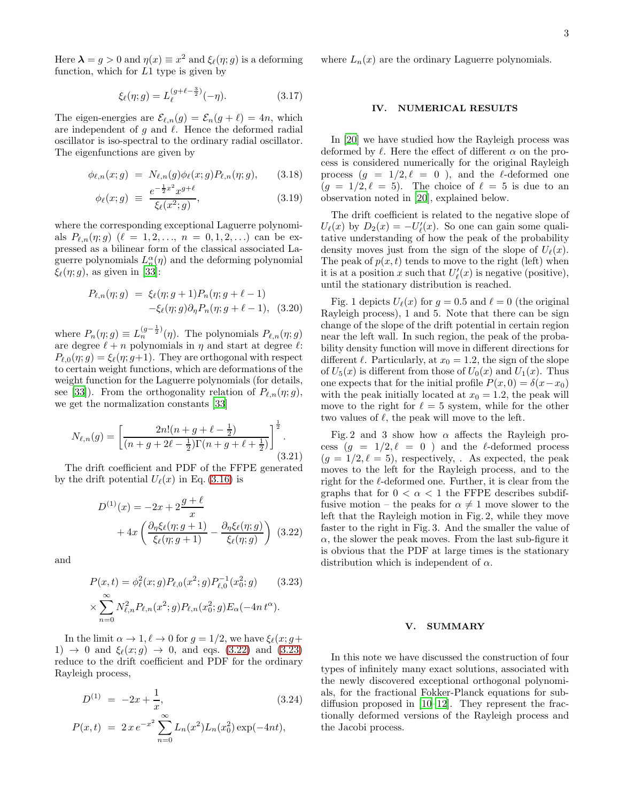Here  $\lambda = g > 0$  and  $\eta(x) \equiv x^2$  and  $\xi_{\ell}(\eta; g)$  is a deforming function, which for  $L1$  type is given by

$$
\xi_{\ell}(\eta; g) = L_{\ell}^{(g+\ell-\frac{3}{2})}(-\eta). \tag{3.17}
$$

The eigen-energies are  $\mathcal{E}_{\ell,n}(g) = \mathcal{E}_n(g+\ell) = 4n$ , which are independent of g and  $\ell$ . Hence the deformed radial oscillator is iso-spectral to the ordinary radial oscillator. The eigenfunctions are given by

$$
\phi_{\ell,n}(x;g) = N_{\ell,n}(g)\phi_{\ell}(x;g)P_{\ell,n}(\eta;g), \qquad (3.18)
$$

$$
\phi_{\ell}(x; g) \equiv \frac{e^{-\frac{1}{2}x^2} x^{g+\ell}}{\xi_{\ell}(x^2; g)}, \tag{3.19}
$$

where the corresponding exceptional Laguerre polynomials  $P_{\ell,n}(\eta;g)$  ( $\ell=1,2,..., n=0,1,2,...$ ) can be expressed as a bilinear form of the classical associated Laguerre polynomials  $L_n^{\alpha}(\eta)$  and the deforming polynomial  $\xi_{\ell}(\eta; g)$ , as given in [\[33\]](#page-3-15):

$$
P_{\ell,n}(\eta; g) = \xi_{\ell}(\eta; g+1) P_n(\eta; g+\ell-1) -\xi_{\ell}(\eta; g) \partial_{\eta} P_n(\eta; g+\ell-1), \quad (3.20)
$$

where  $P_n(\eta; g) \equiv L_n^{(g-\frac{1}{2})}(\eta)$ . The polynomials  $P_{\ell,n}(\eta; g)$ are degree  $\ell + n$  polynomials in  $\eta$  and start at degree  $\ell$ :  $P_{\ell,0}(\eta;q) = \xi_{\ell}(\eta;q+1)$ . They are orthogonal with respect to certain weight functions, which are deformations of the weight function for the Laguerre polynomials (for details, see [\[33\]](#page-3-15)). From the orthogonality relation of  $P_{\ell,n}(\eta;g)$ , we get the normalization constants [\[33](#page-3-15)]

$$
N_{\ell,n}(g) = \left[ \frac{2n!(n+g+\ell-\frac{1}{2})}{(n+g+2\ell-\frac{1}{2})\Gamma(n+g+\ell+\frac{1}{2})} \right]^{\frac{1}{2}}.
$$
\n(3.21)

The drift coefficient and PDF of the FFPE generated by the drift potential  $U_{\ell}(x)$  in Eq. [\(3.16\)](#page-1-3) is

<span id="page-2-0"></span>
$$
D^{(1)}(x) = -2x + 2\frac{g+\ell}{x}
$$
  
+ 
$$
4x \left( \frac{\partial_{\eta} \xi_{\ell}(\eta; g+1)}{\xi_{\ell}(\eta; g+1)} - \frac{\partial_{\eta} \xi_{\ell}(\eta; g)}{\xi_{\ell}(\eta; g)} \right)
$$
(3.22)

and

<span id="page-2-1"></span>
$$
P(x,t) = \phi_{\ell}^{2}(x; g) P_{\ell,0}(x^{2}; g) P_{\ell,0}^{-1}(x_{0}^{2}; g)
$$
 (3.23)  

$$
\times \sum_{n=0}^{\infty} N_{\ell,n}^{2} P_{\ell,n}(x^{2}; g) P_{\ell,n}(x_{0}^{2}; g) E_{\alpha}(-4nt^{\alpha}).
$$

In the limit  $\alpha \to 1, \ell \to 0$  for  $g = 1/2$ , we have  $\xi_{\ell}(x; g+)$ 1)  $\rightarrow$  0 and  $\xi_{\ell}(x;g)$   $\rightarrow$  0, and eqs. [\(3.22\)](#page-2-0) and [\(3.23\)](#page-2-1) reduce to the drift coefficient and PDF for the ordinary Rayleigh process,

$$
D^{(1)} = -2x + \frac{1}{x},
$$
\n
$$
P(x,t) = 2x e^{-x^2} \sum_{n=0}^{\infty} L_n(x^2) L_n(x_0^2) \exp(-4nt),
$$
\n(3.24)

where  $L_n(x)$  are the ordinary Laguerre polynomials.

#### IV. NUMERICAL RESULTS

In [\[20](#page-3-6)] we have studied how the Rayleigh process was deformed by  $\ell$ . Here the effect of different  $\alpha$  on the process is considered numerically for the original Rayleigh process  $(g = 1/2, \ell = 0)$ , and the  $\ell$ -deformed one  $(q = 1/2, \ell = 5)$ . The choice of  $\ell = 5$  is due to an observation noted in [\[20](#page-3-6)], explained below.

The drift coefficient is related to the negative slope of  $U_{\ell}(x)$  by  $D_2(x) = -U'_{\ell}(x)$ . So one can gain some qualitative understanding of how the peak of the probability density moves just from the sign of the slope of  $U_{\ell}(x)$ . The peak of  $p(x, t)$  tends to move to the right (left) when it is at a position x such that  $U'_{\ell}(x)$  is negative (positive), until the stationary distribution is reached.

Fig. 1 depicts  $U_{\ell}(x)$  for  $q = 0.5$  and  $\ell = 0$  (the original Rayleigh process), 1 and 5. Note that there can be sign change of the slope of the drift potential in certain region near the left wall. In such region, the peak of the probability density function will move in different directions for different  $\ell$ . Particularly, at  $x_0 = 1.2$ , the sign of the slope of  $U_5(x)$  is different from those of  $U_0(x)$  and  $U_1(x)$ . Thus one expects that for the initial profile  $P(x, 0) = \delta(x-x_0)$ with the peak initially located at  $x_0 = 1.2$ , the peak will move to the right for  $\ell = 5$  system, while for the other two values of  $\ell$ , the peak will move to the left.

Fig. 2 and 3 show how  $\alpha$  affects the Rayleigh process  $(g = 1/2, \ell = 0)$  and the  $\ell$ -deformed process  $(q = 1/2, \ell = 5)$ , respectively, . As expected, the peak moves to the left for the Rayleigh process, and to the right for the  $\ell$ -deformed one. Further, it is clear from the graphs that for  $0 < \alpha < 1$  the FFPE describes subdiffusive motion – the peaks for  $\alpha \neq 1$  move slower to the left that the Rayleigh motion in Fig. 2, while they move faster to the right in Fig. 3. And the smaller the value of  $\alpha$ , the slower the peak moves. From the last sub-figure it is obvious that the PDF at large times is the stationary distribution which is independent of  $\alpha$ .

### V. SUMMARY

In this note we have discussed the construction of four types of infinitely many exact solutions, associated with the newly discovered exceptional orthogonal polynomials, for the fractional Fokker-Planck equations for subdiffusion proposed in [\[10–](#page-3-3)[12\]](#page-3-5). They represent the fractionally deformed versions of the Rayleigh process and the Jacobi process.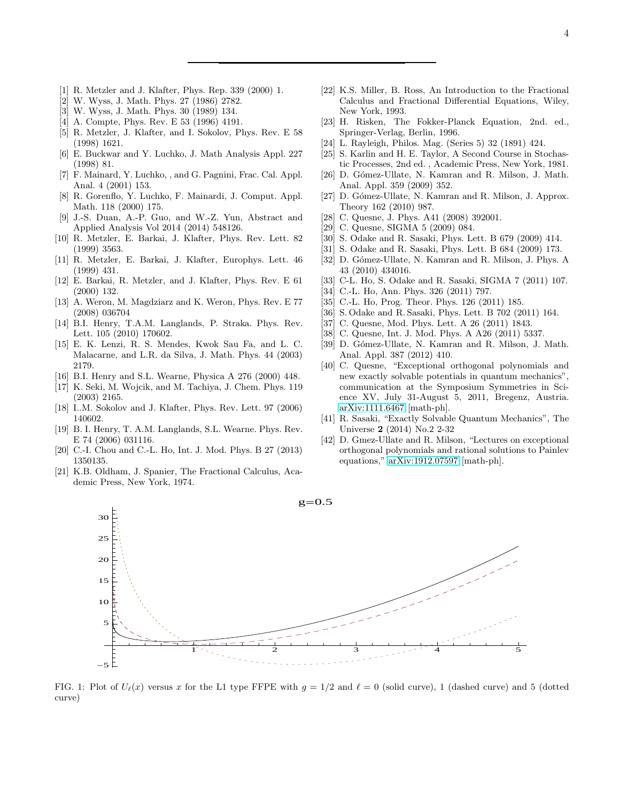- <span id="page-3-0"></span>[1] R. Metzler and J. Klafter, Phys. Rep. 339 (2000) 1.
- [2] W. Wyss, J. Math. Phys. 27 (1986) 2782.
- [3] W. Wyss, J. Math. Phys. 30 (1989) 134.
- <span id="page-3-1"></span>[4] A. Compte, Phys. Rev. E 53 (1996) 4191.
- <span id="page-3-2"></span>[5] R. Metzler, J. Klafter, and I. Sokolov, Phys. Rev. E 58 (1998) 1621.
- [6] E. Buckwar and Y. Luchko, J. Math Analysis Appl. 227 (1998) 81.
- [7] F. Mainard, Y. Luchko, , and G. Pagnini, Frac. Cal. Appl. Anal. 4 (2001) 153.
- [8] R. Gorenflo, Y. Luchko, F. Mainardi, J. Comput. Appl. Math. 118 (2000) 175.
- [9] J.-S. Duan, A.-P. Guo, and W.-Z. Yun, Abstract and Applied Analysis Vol 2014 (2014) 548126.
- <span id="page-3-3"></span>[10] R. Metzler, E. Barkai, J. Klafter, Phys. Rev. Lett. 82 (1999) 3563.
- [11] R. Metzler, E. Barkai, J. Klafter, Europhys. Lett. 46 (1999) 431.
- <span id="page-3-5"></span>[12] E. Barkai, R. Metzler, and J. Klafter, Phys. Rev. E 61 (2000) 132.
- <span id="page-3-9"></span>[13] A. Weron, M. Magdziarz and K. Weron, Phys. Rev. E 77 (2008) 036704
- <span id="page-3-4"></span>[14] B.I. Henry, T.A.M. Langlands, P. Straka. Phys. Rev. Lett. 105 (2010) 170602.
- [15] E. K. Lenzi, R. S. Mendes, Kwok Sau Fa, and L. C. Malacarne, and L.R. da Silva, J. Math. Phys. 44 (2003) 2179.
- [16] B.I. Henry and S.L. Wearne, Physica A 276 (2000) 448.
- [17] K. Seki, M. Wojcik, and M. Tachiya, J. Chem. Phys. 119 (2003) 2165.
- [18] I..M. Sokolov and J. Klafter, Phys. Rev. Lett. 97 (2006) 140602.
- [19] B. I. Henry, T. A.M. Langlands, S.L. Wearne. Phys. Rev. E 74 (2006) 031116.
- <span id="page-3-6"></span>[20] C.-I. Chou and C.-L. Ho, Int. J. Mod. Phys. B 27 (2013) 1350135.
- <span id="page-3-7"></span>[21] K.B. Oldham, J. Spanier, The Fractional Calculus, Academic Press, New York, 1974.

30

- <span id="page-3-8"></span>[22] K.S. Miller, B. Ross, An Introduction to the Fractional Calculus and Fractional Differential Equations, Wiley, New York, 1993.
- <span id="page-3-10"></span>[23] H. Risken, The Fokker-Planck Equation, 2nd. ed., Springer-Verlag, Berlin, 1996.
- <span id="page-3-11"></span>[24] L. Rayleigh, Philos. Mag. (Series 5) 32 (1891) 424.
- <span id="page-3-12"></span>[25] S. Karlin and H. E. Taylor, A Second Course in Stochastic Processes, 2nd ed. , Academic Press, New York, 1981.
- [26] D. Gómez-Ullate, N. Kamran and R. Milson, J. Math. Anal. Appl. 359 (2009) 352.
- [27] D. Gómez-Ullate, N. Kamran and R. Milson, J. Approx. Theory 162 (2010) 987.
- [28] C. Quesne, J. Phys. A41 (2008) 392001.
- [29] C. Quesne, SIGMA 5 (2009) 084.
- [30] S. Odake and R. Sasaki, Phys. Lett. B 679 (2009) 414.
- [31] S. Odake and R. Sasaki, Phys. Lett. B 684 (2009) 173.
- [32] D. Gómez-Ullate, N. Kamran and R. Milson, J. Phys. A 43 (2010) 434016.
- <span id="page-3-15"></span>[33] C-L. Ho, S. Odake and R. Sasaki, SIGMA 7 (2011) 107.
- [34] C.-L. Ho, Ann. Phys. 326 (2011) 797.
- [35] C.-L. Ho, Prog. Theor. Phys. 126 (2011) 185.
- [36] S. Odake and R. Sasaki, Phys. Lett. B 702 (2011) 164.
- [37] C. Quesne, Mod. Phys. Lett. A 26 (2011) 1843.
- [38] C. Quesne, Int. J. Mod. Phys. A A26 (2011) 5337.
- [39] D. Gómez-Ullate, N. Kamran and R. Milson, J. Math. Anal. Appl. 387 (2012) 410.
- <span id="page-3-13"></span>[40] C. Quesne, "Exceptional orthogonal polynomials and new exactly solvable potentials in quantum mechanics", communication at the Symposium Symmetries in Science XV, July 31-August 5, 2011, Bregenz, Austria. [arXiv:1111.6467](http://arxiv.org/abs/1111.6467) [math-ph].
- [41] R. Sasaki, "Exactly Solvable Quantum Mechanics", The Universe 2 (2014) No.2 2-32
- <span id="page-3-14"></span>[42] D. Gmez-Ullate and R. Milson, "Lectures on exceptional orthogonal polynomials and rational solutions to Painlev equations," [arXiv:1912.07597](http://arxiv.org/abs/1912.07597) [math-ph].

 $g=0.5$ 



FIG. 1: Plot of  $U_{\ell}(x)$  versus x for the L1 type FFPE with  $q = 1/2$  and  $\ell = 0$  (solid curve), 1 (dashed curve) and 5 (dotted curve)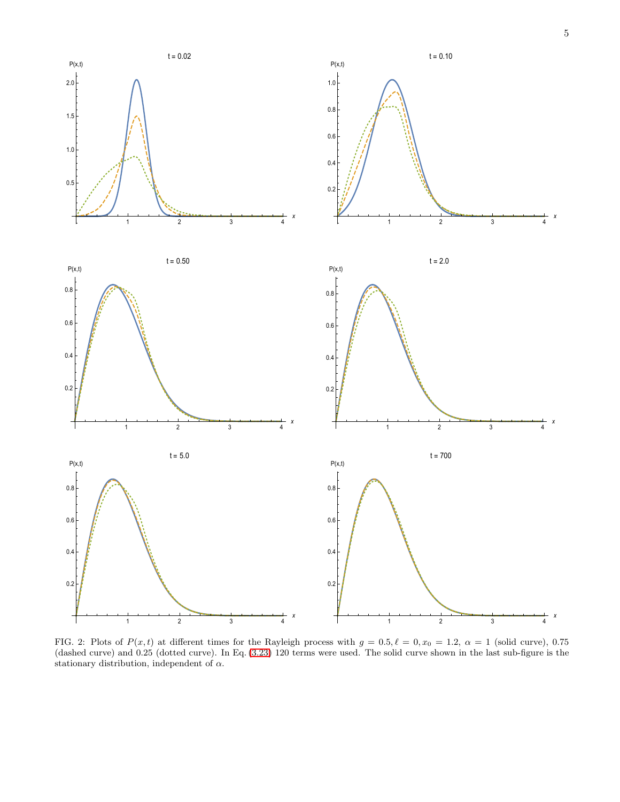

FIG. 2: Plots of  $P(x,t)$  at different times for the Rayleigh process with  $g = 0.5, \ell = 0, x_0 = 1.2, \alpha = 1$  (solid curve), 0.75 (dashed curve) and 0.25 (dotted curve). In Eq. [\(3.23\)](#page-2-1) 120 terms were used. The solid curve shown in the last sub-figure is the stationary distribution, independent of  $\alpha$ .